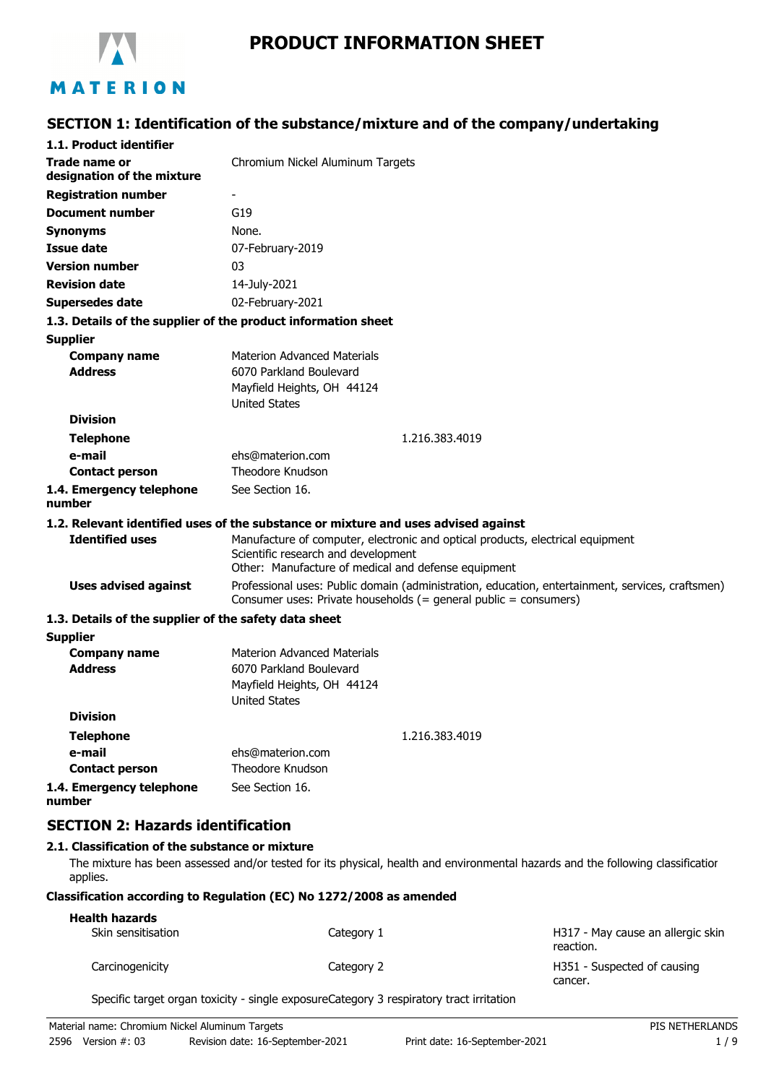

## **PRODUCT INFORMATION SHEET**

### **SECTION 1: Identification of the substance/mixture and of the company/undertaking**

| 1.1. Product identifier                               |                                                                                                                                                                      |
|-------------------------------------------------------|----------------------------------------------------------------------------------------------------------------------------------------------------------------------|
| <b>Trade name or</b><br>designation of the mixture    | Chromium Nickel Aluminum Targets                                                                                                                                     |
| <b>Registration number</b>                            |                                                                                                                                                                      |
| <b>Document number</b>                                | G19                                                                                                                                                                  |
| <b>Synonyms</b>                                       | None.                                                                                                                                                                |
| <b>Issue date</b>                                     | 07-February-2019                                                                                                                                                     |
| <b>Version number</b>                                 | 03                                                                                                                                                                   |
| <b>Revision date</b>                                  | 14-July-2021                                                                                                                                                         |
| <b>Supersedes date</b>                                | 02-February-2021                                                                                                                                                     |
|                                                       | 1.3. Details of the supplier of the product information sheet                                                                                                        |
| <b>Supplier</b>                                       |                                                                                                                                                                      |
| <b>Company name</b>                                   | <b>Materion Advanced Materials</b>                                                                                                                                   |
| <b>Address</b>                                        | 6070 Parkland Boulevard                                                                                                                                              |
|                                                       | Mayfield Heights, OH 44124                                                                                                                                           |
|                                                       | <b>United States</b>                                                                                                                                                 |
| <b>Division</b>                                       |                                                                                                                                                                      |
| <b>Telephone</b>                                      | 1.216.383.4019                                                                                                                                                       |
| e-mail                                                | ehs@materion.com                                                                                                                                                     |
| <b>Contact person</b>                                 | Theodore Knudson                                                                                                                                                     |
| 1.4. Emergency telephone<br>number                    | See Section 16.                                                                                                                                                      |
|                                                       | 1.2. Relevant identified uses of the substance or mixture and uses advised against                                                                                   |
| <b>Identified uses</b>                                | Manufacture of computer, electronic and optical products, electrical equipment<br>Scientific research and development                                                |
|                                                       | Other: Manufacture of medical and defense equipment                                                                                                                  |
| <b>Uses advised against</b>                           | Professional uses: Public domain (administration, education, entertainment, services, craftsmen)<br>Consumer uses: Private households (= general public = consumers) |
| 1.3. Details of the supplier of the safety data sheet |                                                                                                                                                                      |
| <b>Supplier</b>                                       |                                                                                                                                                                      |
| <b>Company name</b>                                   | <b>Materion Advanced Materials</b>                                                                                                                                   |
| <b>Address</b>                                        | 6070 Parkland Boulevard                                                                                                                                              |
|                                                       | Mayfield Heights, OH 44124                                                                                                                                           |
|                                                       | <b>United States</b>                                                                                                                                                 |
| <b>Division</b>                                       |                                                                                                                                                                      |
| <b>Telephone</b>                                      | 1.216.383.4019                                                                                                                                                       |
| e-mail                                                | ehs@materion.com                                                                                                                                                     |
| <b>Contact person</b>                                 | Theodore Knudson                                                                                                                                                     |
| 1.4. Emergency telephone<br>number                    | See Section 16.                                                                                                                                                      |
|                                                       |                                                                                                                                                                      |

# **SECTION 2: Hazards identification**

### **2.1. Classification of the substance or mixture**

The mixture has been assessed and/or tested for its physical, health and environmental hazards and the following classification applies.

### **Classification according to Regulation (EC) No 1272/2008 as amended**

| <b>Health hazards</b> |            |                                                |
|-----------------------|------------|------------------------------------------------|
| Skin sensitisation    | Category 1 | H317 - May cause an allergic skin<br>reaction. |
| Carcinogenicity       | Category 2 | H351 - Suspected of causing<br>cancer.         |

Specific target organ toxicity - single exposureCategory 3 respiratory tract irritation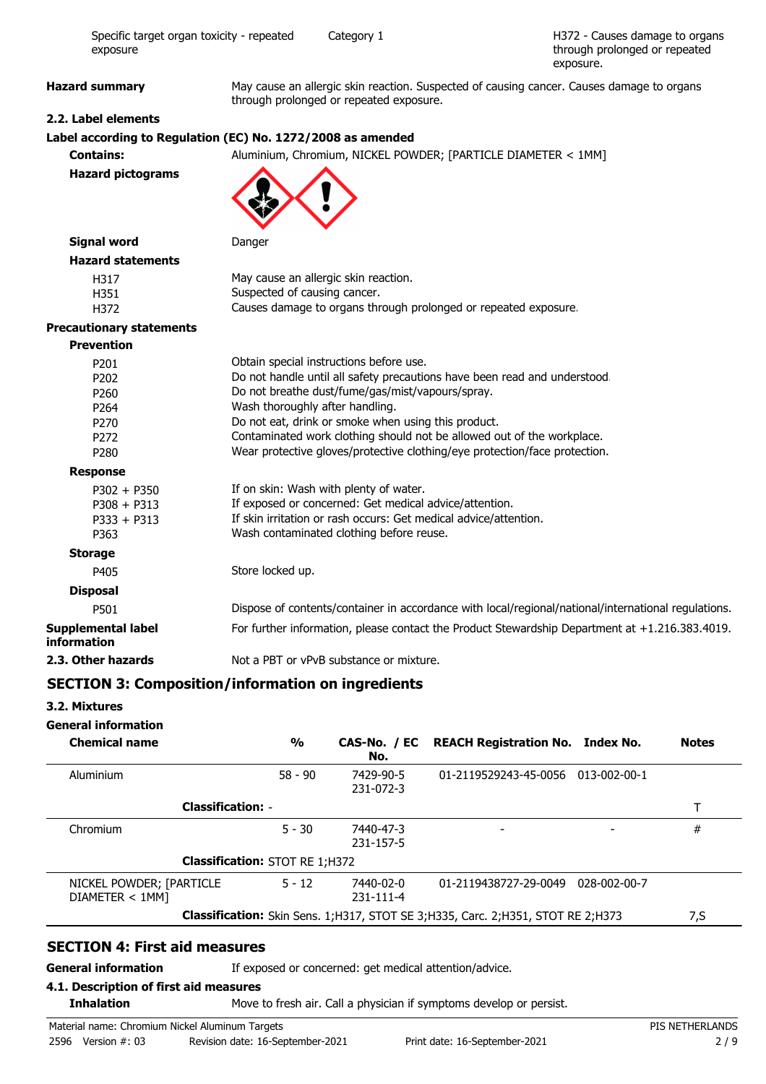H372 - Causes damage to organs through prolonged or repeated exposure.

Hazard summary **May cause an allergic skin reaction.** Suspected of causing cancer. Causes damage to organs through prolonged or repeated exposure.

### **2.2. Label elements**

### **Label according to Regulation (EC) No. 1272/2008 as amended**

**Contains:** Aluminium, Chromium, NICKEL POWDER; [PARTICLE DIAMETER < 1MM] **Hazard pictograms**



| Signal word |  |
|-------------|--|
|-------------|--|

**Danger** 

| H317 | May cause an allergic skin reaction.                            |
|------|-----------------------------------------------------------------|
| H351 | Suspected of causing cancer.                                    |
| H372 | Causes damage to organs through prolonged or repeated exposure. |

#### **Precautionary statements**

**Hazard statements**

| <b>Prevention</b>                 |                                                                                                     |
|-----------------------------------|-----------------------------------------------------------------------------------------------------|
| P <sub>201</sub>                  | Obtain special instructions before use.                                                             |
| P <sub>202</sub>                  | Do not handle until all safety precautions have been read and understood.                           |
| P <sub>260</sub>                  | Do not breathe dust/fume/gas/mist/vapours/spray.                                                    |
| P <sub>264</sub>                  | Wash thoroughly after handling.                                                                     |
| P <sub>270</sub>                  | Do not eat, drink or smoke when using this product.                                                 |
| P272                              | Contaminated work clothing should not be allowed out of the workplace.                              |
| P <sub>280</sub>                  | Wear protective gloves/protective clothing/eye protection/face protection.                          |
| <b>Response</b>                   |                                                                                                     |
| $P302 + P350$                     | If on skin: Wash with plenty of water.                                                              |
| $P308 + P313$                     | If exposed or concerned: Get medical advice/attention.                                              |
| $P333 + P313$                     | If skin irritation or rash occurs: Get medical advice/attention.                                    |
| P363                              | Wash contaminated clothing before reuse.                                                            |
| <b>Storage</b>                    |                                                                                                     |
| P405                              | Store locked up.                                                                                    |
| <b>Disposal</b>                   |                                                                                                     |
| P501                              | Dispose of contents/container in accordance with local/regional/national/international regulations. |
| Supplemental label<br>information | For further information, please contact the Product Stewardship Department at $+1.216.383.4019$ .   |
| 2.3. Other hazards                | Not a PBT or vPvB substance or mixture.                                                             |

### **SECTION 3: Composition/information on ingredients**

### **3.2. Mixtures**

### **General information**

| <b>Chemical name</b>                       | $\frac{0}{0}$                         | No.                          | CAS-No. / EC REACH Registration No. Index No.                                       |              | <b>Notes</b> |
|--------------------------------------------|---------------------------------------|------------------------------|-------------------------------------------------------------------------------------|--------------|--------------|
| Aluminium                                  | $58 - 90$                             | 7429-90-5<br>231-072-3       | 01-2119529243-45-0056                                                               | 013-002-00-1 |              |
| <b>Classification: -</b>                   |                                       |                              |                                                                                     |              |              |
| Chromium                                   | $5 - 30$                              | 7440-47-3<br>231-157-5       |                                                                                     |              | #            |
|                                            | <b>Classification: STOT RE 1;H372</b> |                              |                                                                                     |              |              |
| NICKEL POWDER; [PARTICLE<br>DIAMETER < 1MM | $5 - 12$                              | 7440-02-0<br>$231 - 111 - 4$ | 01-2119438727-29-0049                                                               | 028-002-00-7 |              |
|                                            |                                       |                              | Classification: Skin Sens. 1; H317, STOT SE 3; H335, Carc. 2; H351, STOT RE 2; H373 |              | 7,S          |

### **SECTION 4: First aid measures**

**General information** If exposed or concerned: get medical attention/advice.

### **4.1. Description of first aid measures**

**Inhalation** Move to fresh air. Call a physician if symptoms develop or persist.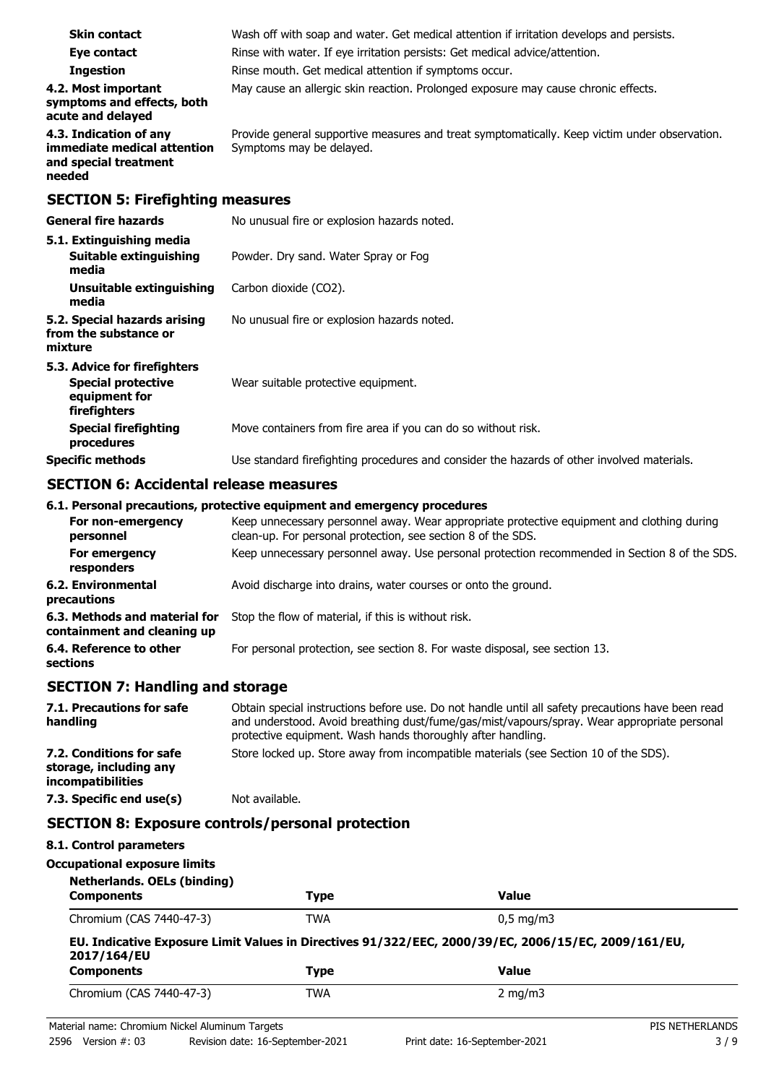| <b>Skin contact</b>                                                                        | Wash off with soap and water. Get medical attention if irritation develops and persists.                                  |
|--------------------------------------------------------------------------------------------|---------------------------------------------------------------------------------------------------------------------------|
| Eye contact                                                                                | Rinse with water. If eye irritation persists: Get medical advice/attention.                                               |
| <b>Ingestion</b>                                                                           | Rinse mouth. Get medical attention if symptoms occur.                                                                     |
| 4.2. Most important<br>symptoms and effects, both<br>acute and delayed                     | May cause an allergic skin reaction. Prolonged exposure may cause chronic effects.                                        |
| 4.3. Indication of any<br>immediate medical attention<br>and special treatment<br>needed   | Provide general supportive measures and treat symptomatically. Keep victim under observation.<br>Symptoms may be delayed. |
| <b>SECTION 5: Firefighting measures</b>                                                    |                                                                                                                           |
| <b>General fire hazards</b>                                                                | No unusual fire or explosion hazards noted.                                                                               |
| 5.1. Extinguishing media<br>Suitable extinguishing<br>media                                | Powder. Dry sand. Water Spray or Fog                                                                                      |
| Unsuitable extinguishing<br>media                                                          | Carbon dioxide (CO2).                                                                                                     |
| 5.2. Special hazards arising<br>from the substance or<br>mixture                           | No unusual fire or explosion hazards noted.                                                                               |
| 5.3. Advice for firefighters<br><b>Special protective</b><br>equipment for<br>firefighters | Wear suitable protective equipment.                                                                                       |
| <b>Special firefighting</b><br>procedures                                                  | Move containers from fire area if you can do so without risk.                                                             |
| <b>Specific methods</b>                                                                    | Use standard firefighting procedures and consider the hazards of other involved materials.                                |

### **SECTION 6: Accidental release measures**

### **6.1. Personal precautions, protective equipment and emergency procedures**

| Keep unnecessary personnel away. Wear appropriate protective equipment and clothing during<br>clean-up. For personal protection, see section 8 of the SDS. |
|------------------------------------------------------------------------------------------------------------------------------------------------------------|
| Keep unnecessary personnel away. Use personal protection recommended in Section 8 of the SDS.                                                              |
| Avoid discharge into drains, water courses or onto the ground.                                                                                             |
| Stop the flow of material, if this is without risk.                                                                                                        |
| For personal protection, see section 8. For waste disposal, see section 13.                                                                                |
|                                                                                                                                                            |

### **SECTION 7: Handling and storage**

| 7.1. Precautions for safe<br>handling                                   | Obtain special instructions before use. Do not handle until all safety precautions have been read<br>and understood. Avoid breathing dust/fume/gas/mist/vapours/spray. Wear appropriate personal<br>protective equipment. Wash hands thoroughly after handling. |
|-------------------------------------------------------------------------|-----------------------------------------------------------------------------------------------------------------------------------------------------------------------------------------------------------------------------------------------------------------|
| 7.2. Conditions for safe<br>storage, including any<br>incompatibilities | Store locked up. Store away from incompatible materials (see Section 10 of the SDS).                                                                                                                                                                            |
| 7.3. Specific end use(s)                                                | Not available.                                                                                                                                                                                                                                                  |

### **SECTION 8: Exposure controls/personal protection**

|  | 8.1. Control parameters |
|--|-------------------------|
|--|-------------------------|

### **Occupational exposure limits**

| <b>Netherlands. OELs (binding)</b> |      |                                                                                                     |
|------------------------------------|------|-----------------------------------------------------------------------------------------------------|
| <b>Components</b>                  | Type | <b>Value</b>                                                                                        |
| Chromium (CAS 7440-47-3)           | TWA  | $0.5 \text{ mg/m}$                                                                                  |
| 2017/164/EU                        |      | EU. Indicative Exposure Limit Values in Directives 91/322/EEC, 2000/39/EC, 2006/15/EC, 2009/161/EU, |
|                                    |      |                                                                                                     |
| <b>Components</b>                  | Type | <b>Value</b>                                                                                        |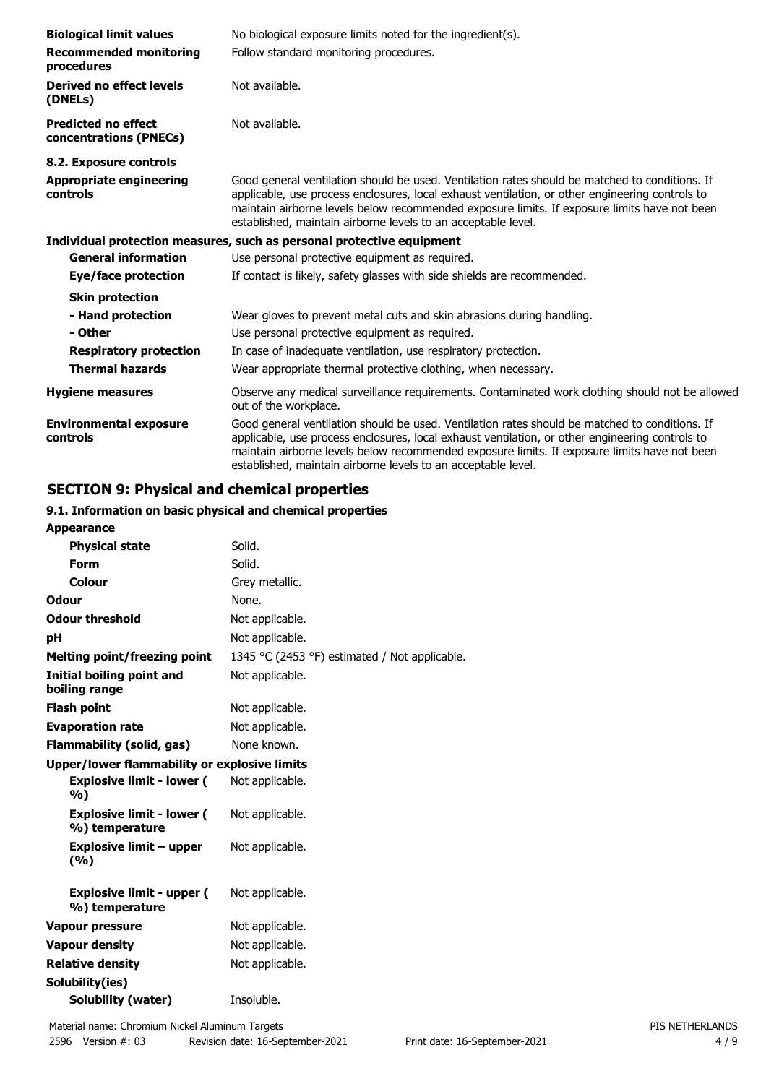| <b>Biological limit values</b>                       | No biological exposure limits noted for the ingredient(s).                                                                                                                                                                                                                                                                                                         |
|------------------------------------------------------|--------------------------------------------------------------------------------------------------------------------------------------------------------------------------------------------------------------------------------------------------------------------------------------------------------------------------------------------------------------------|
| <b>Recommended monitoring</b><br>procedures          | Follow standard monitoring procedures.                                                                                                                                                                                                                                                                                                                             |
| Derived no effect levels<br>(DNELs)                  | Not available.                                                                                                                                                                                                                                                                                                                                                     |
| <b>Predicted no effect</b><br>concentrations (PNECs) | Not available.                                                                                                                                                                                                                                                                                                                                                     |
| 8.2. Exposure controls                               |                                                                                                                                                                                                                                                                                                                                                                    |
| <b>Appropriate engineering</b><br>controls           | Good general ventilation should be used. Ventilation rates should be matched to conditions. If<br>applicable, use process enclosures, local exhaust ventilation, or other engineering controls to<br>maintain airborne levels below recommended exposure limits. If exposure limits have not been<br>established, maintain airborne levels to an acceptable level. |
|                                                      | Individual protection measures, such as personal protective equipment                                                                                                                                                                                                                                                                                              |
| <b>General information</b>                           | Use personal protective equipment as required.                                                                                                                                                                                                                                                                                                                     |
| <b>Eye/face protection</b>                           | If contact is likely, safety glasses with side shields are recommended.                                                                                                                                                                                                                                                                                            |
| <b>Skin protection</b>                               |                                                                                                                                                                                                                                                                                                                                                                    |
| - Hand protection                                    | Wear gloves to prevent metal cuts and skin abrasions during handling.                                                                                                                                                                                                                                                                                              |
| - Other                                              | Use personal protective equipment as required.                                                                                                                                                                                                                                                                                                                     |
| <b>Respiratory protection</b>                        | In case of inadequate ventilation, use respiratory protection.                                                                                                                                                                                                                                                                                                     |
| <b>Thermal hazards</b>                               | Wear appropriate thermal protective clothing, when necessary.                                                                                                                                                                                                                                                                                                      |
| <b>Hygiene measures</b>                              | Observe any medical surveillance requirements. Contaminated work clothing should not be allowed<br>out of the workplace.                                                                                                                                                                                                                                           |
| <b>Environmental exposure</b><br>controls            | Good general ventilation should be used. Ventilation rates should be matched to conditions. If<br>applicable, use process enclosures, local exhaust ventilation, or other engineering controls to<br>maintain airborne levels below recommended exposure limits. If exposure limits have not been<br>established, maintain airborne levels to an acceptable level. |

### **SECTION 9: Physical and chemical properties**

### **9.1. Information on basic physical and chemical properties**

| <b>Appearance</b>                                  |                                               |
|----------------------------------------------------|-----------------------------------------------|
| <b>Physical state</b>                              | Solid.                                        |
| Form                                               | Solid.                                        |
| Colour                                             | Grey metallic.                                |
| Odour                                              | None.                                         |
| <b>Odour threshold</b>                             | Not applicable.                               |
| рH                                                 | Not applicable.                               |
| <b>Melting point/freezing point</b>                | 1345 °C (2453 °F) estimated / Not applicable. |
| <b>Initial boiling point and</b><br>boiling range  | Not applicable.                               |
| <b>Flash point</b>                                 | Not applicable.                               |
| <b>Evaporation rate</b>                            | Not applicable.                               |
| Flammability (solid, gas)                          | None known.                                   |
| Upper/lower flammability or explosive limits       |                                               |
| <b>Explosive limit - lower (</b><br>%)             | Not applicable.                               |
| <b>Explosive limit - lower (</b><br>%) temperature | Not applicable.                               |
| <b>Explosive limit – upper</b><br>(9/0)            | Not applicable.                               |
| <b>Explosive limit - upper (</b><br>%) temperature | Not applicable.                               |
| Vapour pressure                                    | Not applicable.                               |
| <b>Vapour density</b>                              | Not applicable.                               |
| <b>Relative density</b>                            | Not applicable.                               |
| Solubility(ies)                                    |                                               |
| Solubility (water)                                 | Insoluble.                                    |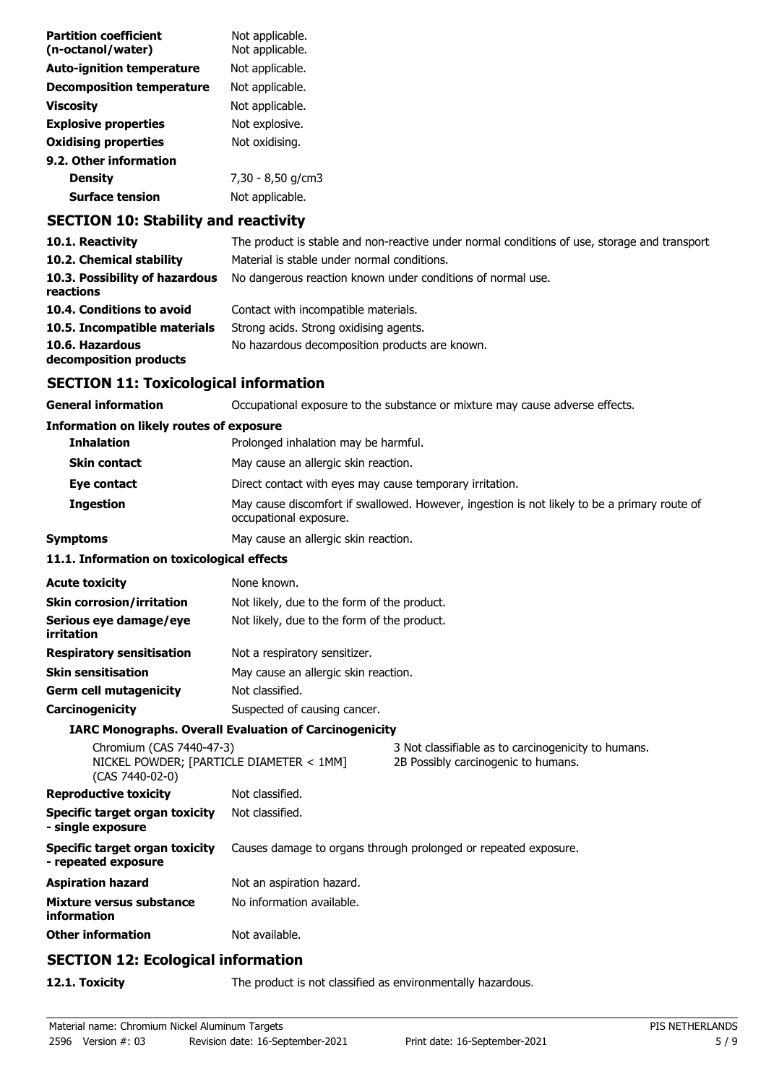| <b>Partition coefficient</b><br>(n-octanol/water) | Not applicable.<br>Not applicable. |
|---------------------------------------------------|------------------------------------|
| <b>Auto-ignition temperature</b>                  | Not applicable.                    |
| <b>Decomposition temperature</b>                  | Not applicable.                    |
| Viscosity                                         | Not applicable.                    |
| <b>Explosive properties</b>                       | Not explosive.                     |
| <b>Oxidising properties</b>                       | Not oxidising.                     |
| 9.2. Other information                            |                                    |
| Density                                           | 7,30 - 8,50 g/cm3                  |
| <b>Surface tension</b>                            | Not applicable.                    |
|                                                   |                                    |

### **SECTION 10: Stability and reactivity**

| 10.1. Reactivity                            | The product is stable and non-reactive under normal conditions of use, storage and transport |
|---------------------------------------------|----------------------------------------------------------------------------------------------|
| 10.2. Chemical stability                    | Material is stable under normal conditions.                                                  |
| 10.3. Possibility of hazardous<br>reactions | No dangerous reaction known under conditions of normal use.                                  |
| 10.4. Conditions to avoid                   | Contact with incompatible materials.                                                         |
| 10.5. Incompatible materials                | Strong acids. Strong oxidising agents.                                                       |
| 10.6. Hazardous<br>decomposition products   | No hazardous decomposition products are known.                                               |

### **SECTION 11: Toxicological information**

| <b>SECTION 11: Toxicological information</b>                                            |                                                                                                                        |                                                                                            |  |
|-----------------------------------------------------------------------------------------|------------------------------------------------------------------------------------------------------------------------|--------------------------------------------------------------------------------------------|--|
| <b>General information</b>                                                              | Occupational exposure to the substance or mixture may cause adverse effects.                                           |                                                                                            |  |
| <b>Information on likely routes of exposure</b>                                         |                                                                                                                        |                                                                                            |  |
| <b>Inhalation</b>                                                                       | Prolonged inhalation may be harmful.                                                                                   |                                                                                            |  |
| <b>Skin contact</b>                                                                     | May cause an allergic skin reaction.                                                                                   |                                                                                            |  |
| Eye contact                                                                             | Direct contact with eyes may cause temporary irritation.                                                               |                                                                                            |  |
| <b>Ingestion</b>                                                                        | May cause discomfort if swallowed. However, ingestion is not likely to be a primary route of<br>occupational exposure. |                                                                                            |  |
| <b>Symptoms</b>                                                                         | May cause an allergic skin reaction.                                                                                   |                                                                                            |  |
| 11.1. Information on toxicological effects                                              |                                                                                                                        |                                                                                            |  |
| <b>Acute toxicity</b>                                                                   | None known.                                                                                                            |                                                                                            |  |
| <b>Skin corrosion/irritation</b>                                                        | Not likely, due to the form of the product.                                                                            |                                                                                            |  |
| Serious eye damage/eye<br>irritation                                                    | Not likely, due to the form of the product.                                                                            |                                                                                            |  |
| <b>Respiratory sensitisation</b>                                                        | Not a respiratory sensitizer.                                                                                          |                                                                                            |  |
| <b>Skin sensitisation</b>                                                               | May cause an allergic skin reaction.                                                                                   |                                                                                            |  |
| <b>Germ cell mutagenicity</b>                                                           | Not classified.                                                                                                        |                                                                                            |  |
| Carcinogenicity                                                                         | Suspected of causing cancer.                                                                                           |                                                                                            |  |
|                                                                                         | <b>IARC Monographs. Overall Evaluation of Carcinogenicity</b>                                                          |                                                                                            |  |
| Chromium (CAS 7440-47-3)<br>NICKEL POWDER; [PARTICLE DIAMETER < 1MM]<br>(CAS 7440-02-0) |                                                                                                                        | 3 Not classifiable as to carcinogenicity to humans.<br>2B Possibly carcinogenic to humans. |  |
| <b>Reproductive toxicity</b>                                                            | Not classified.                                                                                                        |                                                                                            |  |
| <b>Specific target organ toxicity</b><br>- single exposure                              | Not classified.                                                                                                        |                                                                                            |  |
| Specific target organ toxicity                                                          |                                                                                                                        | Causes damage to organs through prolonged or repeated exposure.                            |  |

**Other information** Not available.

**SECTION 12: Ecological information**

**Aspiration hazard** Not an aspiration hazard. **Mixture versus substance** No information available.

**12.1. Toxicity** The product is not classified as environmentally hazardous.

**- repeated exposure**

**information**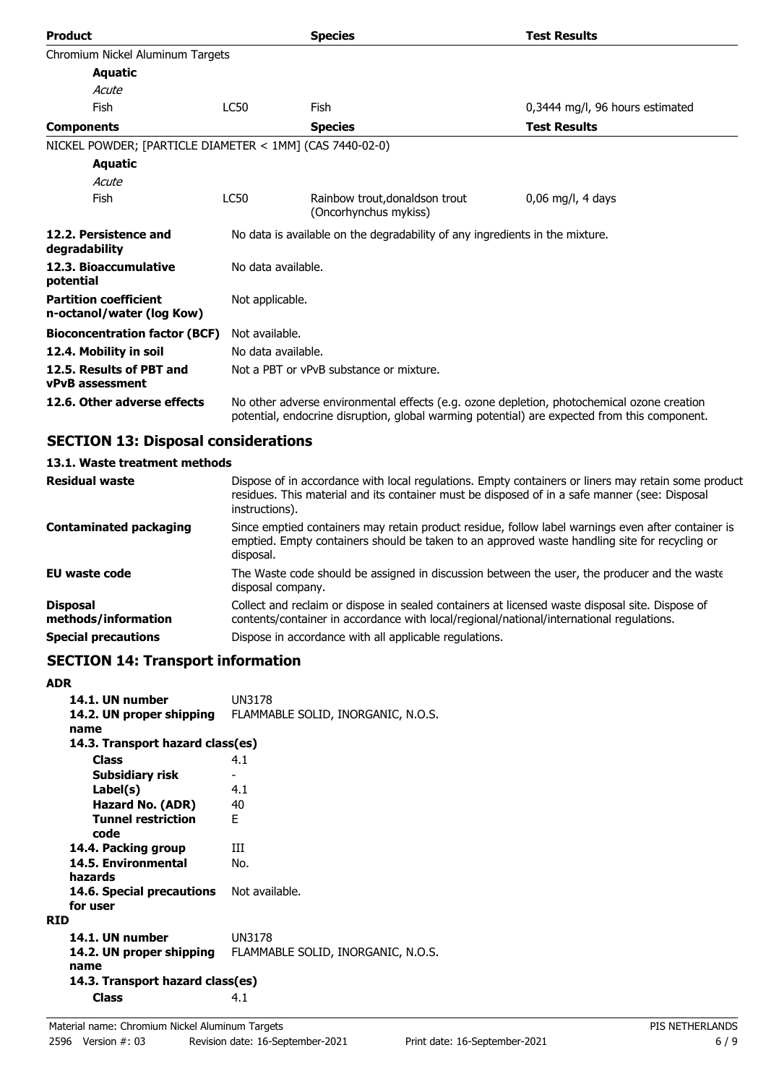| <b>Product</b>                                            |                    | <b>Species</b>                                                                                                                                                                             | <b>Test Results</b>             |
|-----------------------------------------------------------|--------------------|--------------------------------------------------------------------------------------------------------------------------------------------------------------------------------------------|---------------------------------|
| Chromium Nickel Aluminum Targets                          |                    |                                                                                                                                                                                            |                                 |
| <b>Aquatic</b>                                            |                    |                                                                                                                                                                                            |                                 |
| Acute                                                     |                    |                                                                                                                                                                                            |                                 |
| Fish                                                      | LC50               | Fish                                                                                                                                                                                       | 0,3444 mg/l, 96 hours estimated |
| <b>Components</b>                                         |                    | <b>Species</b>                                                                                                                                                                             | <b>Test Results</b>             |
| NICKEL POWDER; [PARTICLE DIAMETER < 1MM] (CAS 7440-02-0)  |                    |                                                                                                                                                                                            |                                 |
| <b>Aquatic</b>                                            |                    |                                                                                                                                                                                            |                                 |
| Acute                                                     |                    |                                                                                                                                                                                            |                                 |
| Fish                                                      | <b>LC50</b>        | Rainbow trout, donaldson trout<br>(Oncorhynchus mykiss)                                                                                                                                    | $0,06$ mg/l, 4 days             |
| 12.2. Persistence and<br>degradability                    |                    | No data is available on the degradability of any ingredients in the mixture.                                                                                                               |                                 |
| 12.3. Bioaccumulative<br>potential                        | No data available. |                                                                                                                                                                                            |                                 |
| <b>Partition coefficient</b><br>n-octanol/water (log Kow) | Not applicable.    |                                                                                                                                                                                            |                                 |
| <b>Bioconcentration factor (BCF)</b>                      | Not available.     |                                                                                                                                                                                            |                                 |
| 12.4. Mobility in soil                                    | No data available. |                                                                                                                                                                                            |                                 |
| 12.5. Results of PBT and<br><b>vPvB</b> assessment        |                    | Not a PBT or vPvB substance or mixture.                                                                                                                                                    |                                 |
| 12.6. Other adverse effects                               |                    | No other adverse environmental effects (e.g. ozone depletion, photochemical ozone creation<br>potential, endocrine disruption, global warming potential) are expected from this component. |                                 |

### **SECTION 13: Disposal considerations**

### **13.1. Waste treatment methods**

| <b>Residual waste</b>                  | Dispose of in accordance with local regulations. Empty containers or liners may retain some product<br>residues. This material and its container must be disposed of in a safe manner (see: Disposal<br>instructions). |
|----------------------------------------|------------------------------------------------------------------------------------------------------------------------------------------------------------------------------------------------------------------------|
| <b>Contaminated packaging</b>          | Since emptied containers may retain product residue, follow label warnings even after container is<br>emptied. Empty containers should be taken to an approved waste handling site for recycling or<br>disposal.       |
| EU waste code                          | The Waste code should be assigned in discussion between the user, the producer and the waste<br>disposal company.                                                                                                      |
| <b>Disposal</b><br>methods/information | Collect and reclaim or dispose in sealed containers at licensed waste disposal site. Dispose of<br>contents/container in accordance with local/regional/national/international regulations.                            |
| <b>Special precautions</b>             | Dispose in accordance with all applicable regulations.                                                                                                                                                                 |

### **SECTION 14: Transport information**

| <b>ADR</b>                       |                                    |
|----------------------------------|------------------------------------|
| 14.1. UN number                  | UN3178                             |
| 14.2. UN proper shipping         | FLAMMABLE SOLID, INORGANIC, N.O.S. |
| name                             |                                    |
| 14.3. Transport hazard class(es) |                                    |
| <b>Class</b>                     | 4.1                                |
| Subsidiary risk                  |                                    |
| Label(s)                         | 4.1                                |
| Hazard No. (ADR)                 | 40                                 |
| <b>Tunnel restriction</b>        | F                                  |
| code                             |                                    |
| 14.4. Packing group              | ш                                  |
| 14.5. Environmental              | No.                                |
| hazards                          |                                    |
| 14.6. Special precautions        | Not available.                     |
| for user                         |                                    |
| <b>RID</b>                       |                                    |
| 14.1. UN number                  | UN3178                             |
| 14.2. UN proper shipping         | FLAMMABLE SOLID, INORGANIC, N.O.S. |
| name                             |                                    |
| 14.3. Transport hazard class(es) |                                    |
| <b>Class</b>                     | 4.1                                |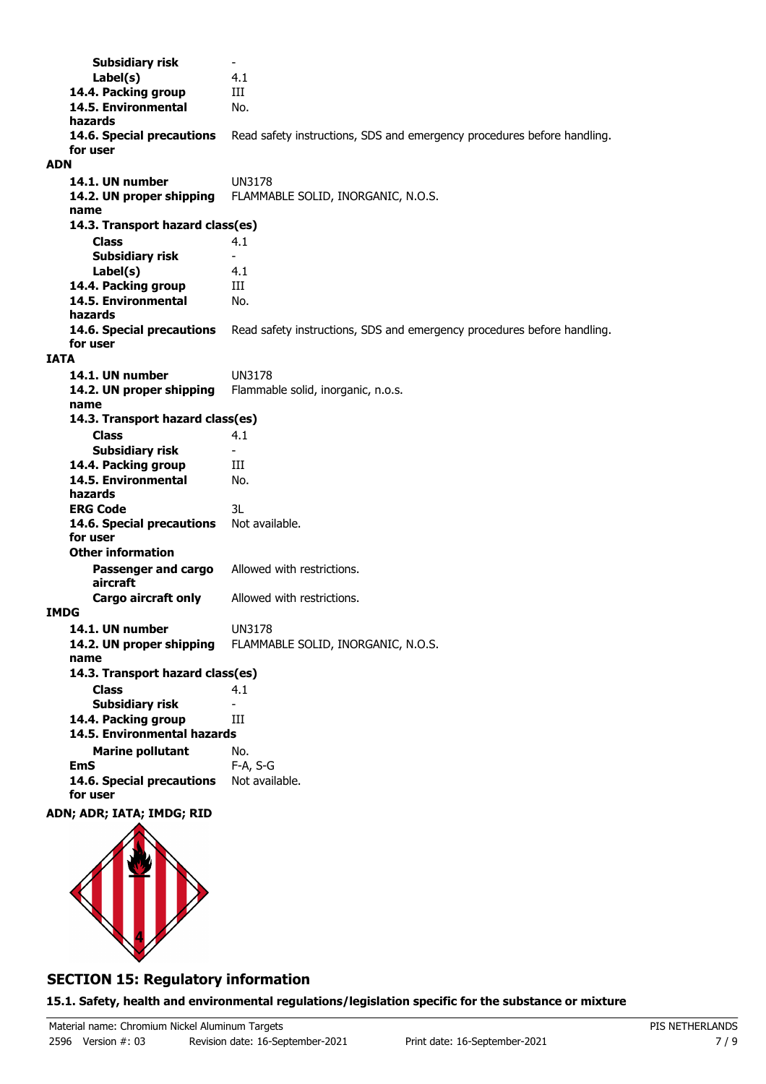**Subsidiary risk Label(s)** 4.1 **14.4. Packing group III 14.5. Environmental** No. **hazards 14.6. Special precautions** Read safety instructions, SDS and emergency procedures before handling. **for user ADN 14.1. UN number** UN3178<br>**14.2. UN proper shipping** FLAMMA **14.2. UN proper shipping** FLAMMABLE SOLID, INORGANIC, N.O.S. **name Class** 4.1 **14.3. Transport hazard class(es) Subsidiary risk Label(s)** 4.1 **14.4. Packing group III 14.5. Environmental** No. **hazards 14.6. Special precautions** Read safety instructions, SDS and emergency procedures before handling. **for user IATA 14.1. UN number** UN3178 **14.2. UN proper shipping** Flammable solid, inorganic, n.o.s. **name Class** 4.1 **14.3. Transport hazard class(es) Subsidiary risk** 14.4. Packing group **III 14.5. Environmental** No. **hazards ERG Code** 3L 14.6. Special precautions Not available. **for user Passenger and cargo** Allowed with restrictions. **aircraft Other information Cargo aircraft only** Allowed with restrictions. **IMDG 14.1. UN number** UN3178 **14.2. UN proper shipping** FLAMMABLE SOLID, INORGANIC, N.O.S. **name Class** 4.1 **14.3. Transport hazard class(es) Subsidiary risk 14.4. Packing group III Marine pollutant** No. **14.5. Environmental hazards EmS** F-A, S-G 14.6. Special precautions Not available. **for user**

### **ADN; ADR; IATA; IMDG; RID**



### **SECTION 15: Regulatory information**

**15.1. Safety, health and environmental regulations/legislation specific for the substance or mixture**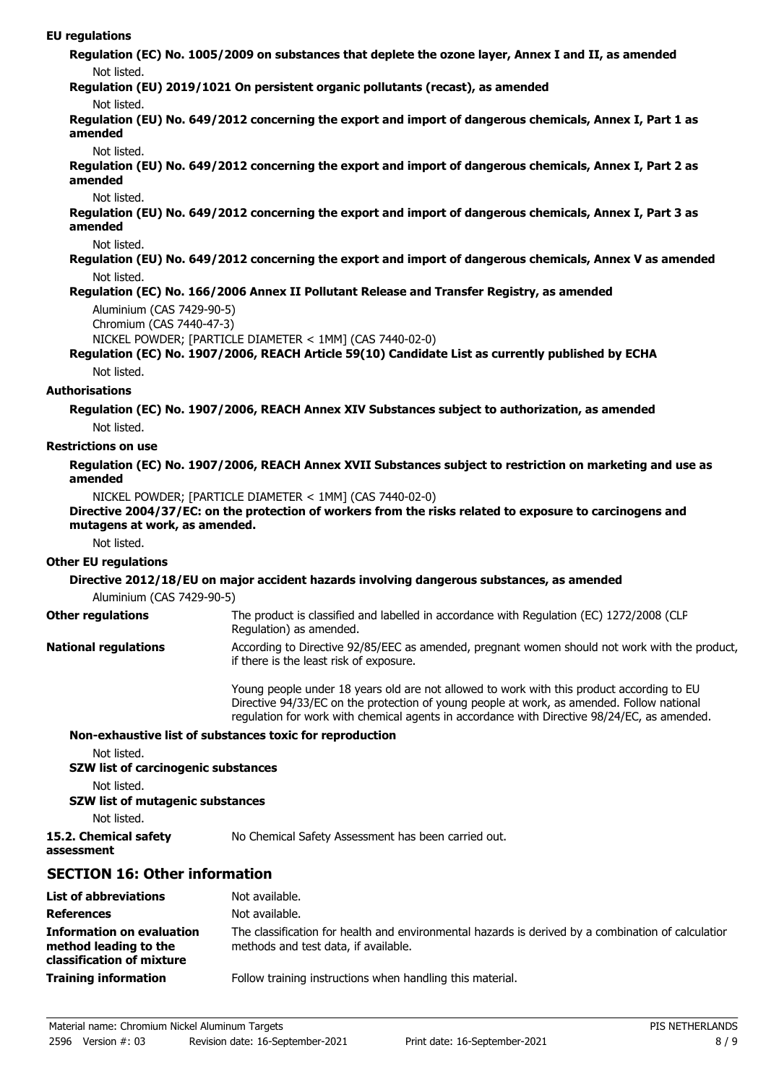#### **EU regulations**

**Regulation (EC) No. 1005/2009 on substances that deplete the ozone layer, Annex I and II, as amended** Not listed.

**Regulation (EU) 2019/1021 On persistent organic pollutants (recast), as amended**

#### Not listed.

**Regulation (EU) No. 649/2012 concerning the export and import of dangerous chemicals, Annex I, Part 1 as amended**

#### Not listed.

**Regulation (EU) No. 649/2012 concerning the export and import of dangerous chemicals, Annex I, Part 2 as amended**

#### Not listed.

**Regulation (EU) No. 649/2012 concerning the export and import of dangerous chemicals, Annex I, Part 3 as amended**

#### Not listed.

**Regulation (EU) No. 649/2012 concerning the export and import of dangerous chemicals, Annex V as amended** Not listed.

### **Regulation (EC) No. 166/2006 Annex II Pollutant Release and Transfer Registry, as amended**

```
Aluminium (CAS 7429-90-5)
```

```
Chromium (CAS 7440-47-3)
```

```
NICKEL POWDER; [PARTICLE DIAMETER < 1MM] (CAS 7440-02-0)
```
# **Regulation (EC) No. 1907/2006, REACH Article 59(10) Candidate List as currently published by ECHA**

Not listed.

### **Authorisations**

**Regulation (EC) No. 1907/2006, REACH Annex XIV Substances subject to authorization, as amended** Not listed.

### **Restrictions on use**

**Regulation (EC) No. 1907/2006, REACH Annex XVII Substances subject to restriction on marketing and use as amended**

NICKEL POWDER; [PARTICLE DIAMETER < 1MM] (CAS 7440-02-0)

### **Directive 2004/37/EC: on the protection of workers from the risks related to exposure to carcinogens and mutagens at work, as amended.**

Not listed.

### **Other EU regulations**

### **Directive 2012/18/EU on major accident hazards involving dangerous substances, as amended**

Aluminium (CAS 7429-90-5)

The product is classified and labelled in accordance with Regulation (EC) 1272/2008 (CLP Regulation) as amended. **Other regulations** According to Directive 92/85/EEC as amended, pregnant women should not work with the product, if there is the least risk of exposure. **National regulations**

> Young people under 18 years old are not allowed to work with this product according to EU Directive 94/33/EC on the protection of young people at work, as amended. Follow national regulation for work with chemical agents in accordance with Directive 98/24/EC, as amended.

### **Non-exhaustive list of substances toxic for reproduction**

Not listed.

**SZW list of carcinogenic substances**

Not listed.

**assessment**

### **SZW list of mutagenic substances**

Not listed.

**15.2. Chemical safety** No Chemical Safety Assessment has been carried out.

### **SECTION 16: Other information**

| <b>List of abbreviations</b>                                                           | Not available.                                                                                                                             |
|----------------------------------------------------------------------------------------|--------------------------------------------------------------------------------------------------------------------------------------------|
| <b>References</b>                                                                      | Not available.                                                                                                                             |
| <b>Information on evaluation</b><br>method leading to the<br>classification of mixture | The classification for health and environmental hazards is derived by a combination of calculatior<br>methods and test data, if available. |
| <b>Training information</b>                                                            | Follow training instructions when handling this material.                                                                                  |